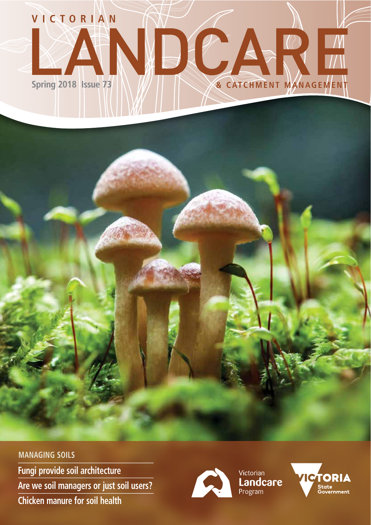

## **Chicken manure for soil health Are we soil managers or just soil users? MANAGING SOILS Fungi provide soil architecture**



Victorian<br>**Landcare**<br>Program